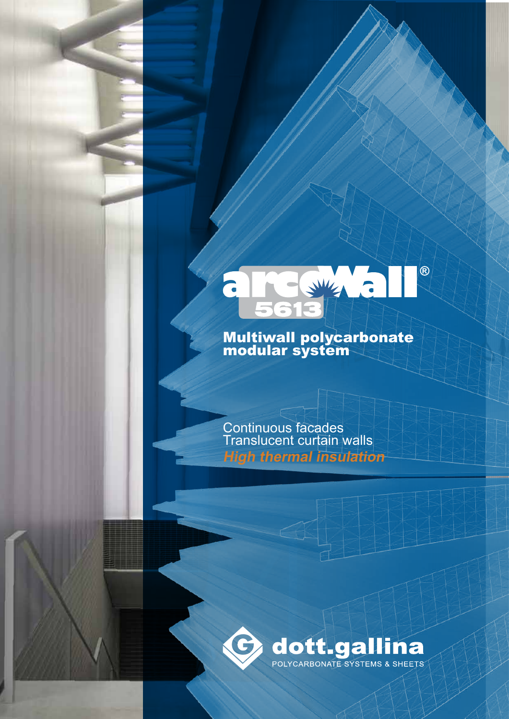# $\circledR$ SWITZ  $\overline{\phantom{a}}$

# Multiwall polycarbonate modular system

Continuous facades Translucent curtain walls **High thermal insulation**

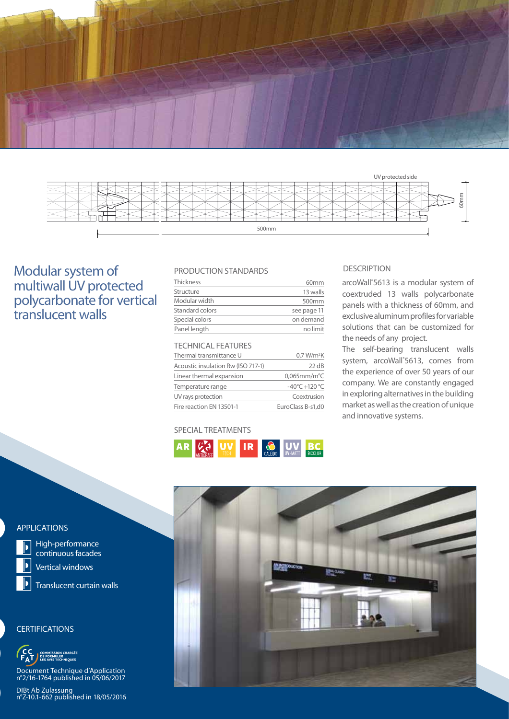



# Modular system of multiwall UV protected polycarbonate for vertical translucent walls

### PRODUCTION STANDARDS

| Thickness       | 60mm              |
|-----------------|-------------------|
| Structure       | 13 walls          |
| Modular width   | 500 <sub>mm</sub> |
| Standard colors | see page 11       |
| Special colors  | on demand         |
| Panel length    | no limit          |

# TECHNICAL FEATURES

| Thermal transmittance U            | 0.7 W/m <sup>2</sup> K            |
|------------------------------------|-----------------------------------|
| Acoustic insulation Rw (ISO 717-1) | $22 \text{ dB}$                   |
| Linear thermal expansion           | $0,065$ mm/m $°C$                 |
| Temperature range                  | $-40^{\circ}$ C +120 $^{\circ}$ C |
| UV rays protection                 | Coextrusion                       |
| Fire reaction EN 13501-1           | EuroClass B-s1,d0                 |

### SPECIAL TREATMENTS



### DESCRIPTION

arcoWall® 5613 is a modular system of coextruded 13 walls polycarbonate panels with a thickness of 60mm, and exclusive aluminum profiles for variable solutions that can be customized for the needs of any project.

The self-bearing translucent walls system, arcoWall® 5613, comes from the experience of over 50 years of our company. We are constantly engaged in exploring alternatives in the building market as well as the creation of unique and innovative systems.



## APPLICATIONS



High-performance continuous facades

Vertical windows

Translucent curtain walls

### **CERTIFICATIONS**

**IISSION CHARGÉE<br>RMULER<br>/IS TECHNIQUES** 

Document Technique d'Application n°2/16-1764 published in 05/06/2017

DIBt Ab Zulassung n°Z-10.1-662 published in 18/05/2016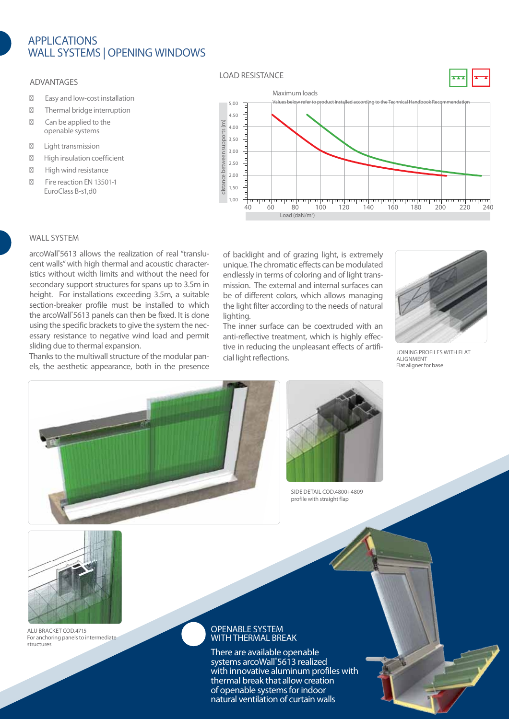# **APPLICATIONS** wall Systems | Opening Windows

#### ADVANTAGES

Easy and low-cost installation Thermal bridge interruption Can be applied to the openable systems

Light transmission High insulation coefficient High wind resistance Fire reaction EN 13501-1

EuroClass B-s1,d0

#### LOAD RESISTANCE





### WAI I SYSTEM

arcoWall® 5613 allows the realization of real "translucent walls" with high thermal and acoustic characteristics without width limits and without the need for secondary support structures for spans up to 3.5m in height. For installations exceeding 3.5m, a suitable section-breaker profile must be installed to which the arcoWall® 5613 panels can then be fixed. It is done using the specific brackets to give the system the necessary resistance to negative wind load and permit sliding due to thermal expansion.

Thanks to the multiwall structure of the modular panels, the aesthetic appearance, both in the presence of backlight and of grazing light, is extremely unique. The chromatic effects can be modulated endlessly in terms of coloring and of light transmission. The external and internal surfaces can be of different colors, which allows managing the light filter according to the needs of natural lighting.

The inner surface can be coextruded with an anti-reflective treatment, which is highly effective in reducing the unpleasant effects of artificial light reflections.



joining profiles with flat alignment Flat aligner for base





side detail COD.4800+4809 profile with straight flap



alu bracket cod.4715 For anchoring panels to intermediate structures

#### OPENABLE SYSTEM WITH THERMAL BREAK

There are available openable systems arcoWall® 5613 realized with innovative aluminum profiles with thermal break that allow creation of openable systems for indoor natural ventilation of curtain walls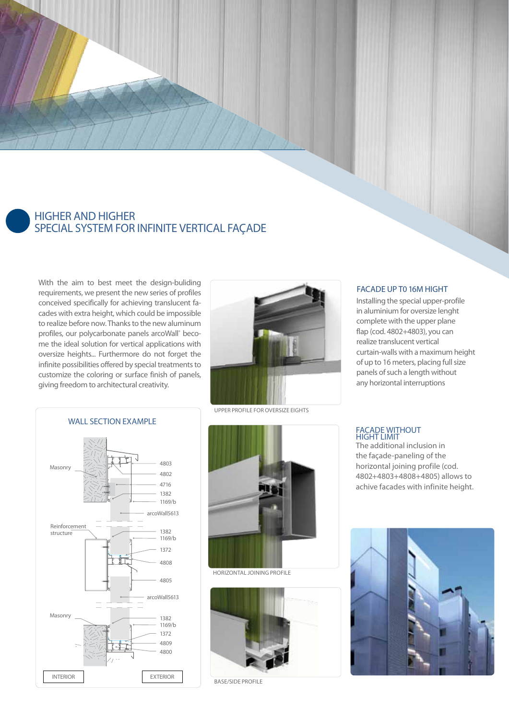# higher and higher special system for infinite vertical façade

With the aim to best meet the design-buliding requirements, we present the new series of profiles conceived specifically for achieving translucent facades with extra height, which could be impossible to realize before now. Thanks to the new aluminum profiles, our polycarbonate panels arcoWall® become the ideal solution for vertical applications with oversize heights... Furthermore do not forget the infinite possibilities offered by special treatments to customize the coloring or surface finish of panels, giving freedom to architectural creativity.



Upper profile for OVERSIZE EIGHTS





HorIZoNtAL joining profile



base/side profile

#### FACADE UP TO 16M HIGHT

Installing the special upper-profile in aluminium for oversize lenght complete with the upper plane flap (cod. 4802+4803), you can realize translucent vertical curtain-walls with a maximum height of up to 16 meters, placing full size panels of such a length without any horizontal interruptions

#### **FACADE W HIGHT LI**

The additional inclusion in the façade-paneling of the horizontal joining profile (cod. 4802+4803+4808+4805) allows to achive facades with infinite height.

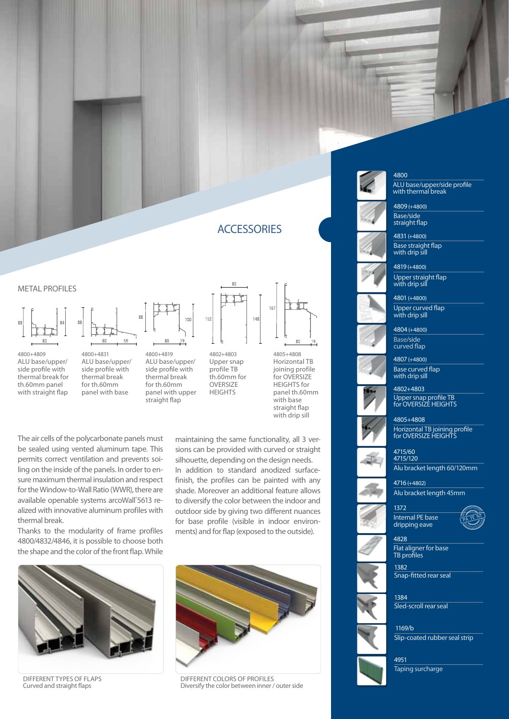# **ACCESSORIES**

#### **METAL PROFILES**



4800+4809 ALU base/upper/ side profile with thermal break for th.60mm panel with straight flap







**HEIGHTS** 



4805+4808 Horizontal TB joining profile for OVERSIZE HEIGHTS for panel th.60mm with base straight flap with drip sill

The air cells of the polycarbonate panels must be sealed using vented aluminum tape. This permits correct ventilation and prevents soiling on the inside of the panels. In order to ensure maximum thermal insulation and respect for the Window-to-Wall Ratio (WWR), there are available openable systems arcoWall® 5613 realized with innovative aluminum profiles with thermal break.

Thanks to the modularity of frame profiles 4800/4832/4846, it is possible to choose both the shape and the color of the front flap. While

maintaining the same functionality, all 3 versions can be provided with curved or straight silhouette, depending on the design needs. In addition to standard anodized surfacefinish, the profiles can be painted with any shade. Moreover an additional feature allows to diversify the color between the indoor and outdoor side by giving two different nuances for base profile (visible in indoor environments) and for flap (exposed to the outside).



different types of flaps Curved and straight flaps



different colors of profiles Diversify the color between inner / outer side



#### 4800

ALU base/upper/side profile with thermal break



straight flap

Base straight flap with drip sill 4831 (+4800)



4801 (+4800) Upper curved flap with drip sill



4807 (+4800)



4802+4803 Upper snap profile TB for OVERSIZE HEIGHTS



4805+4808 Horizontal TB joining profile for OVERSIZE HEIGHTS



4715/120 4715/60 Alu bracket length 60/120mm

4716 (+4802) Alu bracket length 45mm



1372 Internal PE base dripping eave





Flat aligner for base TB profiles

1382 Snap-fitted rear seal

1384 Sled-scroll rear seal





Taping surcharge

4951